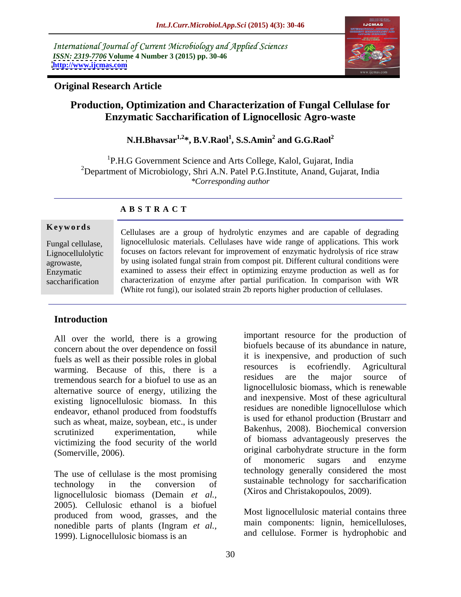International Journal of Current Microbiology and Applied Sciences *ISSN: 2319-7706* **Volume 4 Number 3 (2015) pp. 30-46 <http://www.ijcmas.com>**



### **Original Research Article**

# **Production, Optimization and Characterization of Fungal Cellulase for Enzymatic Saccharification of Lignocellosic Agro-waste**

 $\mathbf{N}.\mathbf{H}.\mathbf{B}$ havsar $^{1,2}$ \*,  $\mathbf{B}.\mathbf{V}.\mathbf{R} \mathbf{a} \mathbf{o} \mathbf{l}^1,\mathbf{S}.\mathbf{S}.\mathbf{A} \mathbf{min}^2$  and  $\mathbf{G}.\mathbf{G}.\mathbf{R} \mathbf{a} \mathbf{o} \mathbf{l}^2$ **and G.G.Raol<sup>2</sup>**

<sup>1</sup>P.H.G Government Science and Arts College, Kalol, Gujarat, India <sup>2</sup>Department of Microbiology, Shri A.N. Patel P.G.Institute, Anand, Gujarat, India *\*Corresponding author*

### **A B S T R A C T**

saccharification

**Keywords** Cellulases are a group of hydrolytic enzymes and are capable of degrading Fungal cellulase, <br>Il suppose luight lignocellulosic materials. Cellulases have wide range of applications. This work Lignocellulolytic focuses on factors relevant for improvement of enzymatic hydrolysis of rice straw by using isolated fungal strain from compost pit. Different cultural conditions were agrowaste, examined to assess their effect in optimizing enzyme production as well as for Enzymatic characterization of enzyme after partial purification. In comparison with WR (White rot fungi), our isolated strain 2b reports higher production of cellulases.

## **Introduction**

All over the world, there is a growing concern about the over dependence on fossil fuels as well as their possible roles in global<br>were in the succes is expensive, and production of such<br>resources is ecofriendly. Agricultural warming. Because of this, there is a resources is ecorriendly. Agricultural<br>tramandous search for a biofuel to use as an residues are the major source of tremendous search for a biofuel to use as an alternative source of energy, utilizing the existing lignocellulosic biomass. In this endeavor, ethanol produced from foodstuffs such as wheat, maize, soybean, etc., is under victimizing the food security of the world

The use of cellulase is the most promising lignocellulosic biomass (Demain *et al.,* 2005)*.* Cellulosic ethanol is a biofuel produced from wood, grasses, and the nonedible parts of plants (Ingram *et al.,* 1999). Lignocellulosic biomass is an

scrutinized experimentation, while  $B$ <sup> $B$ </sup> $A$ <sup> $C$  $D$  $D$  $D$ . Biochemical conversion</sup> (Somerville, 2006). original carbohydrate structure in the form technology in the conversion of sustainable econology for saccharification important resource for the production of biofuels because of its abundance in nature, it is inexpensive, and production of such resources is ecofriendly. Agricultural residues are the major source of lignocellulosic biomass, which is renewable and inexpensive. Most of these agricultural residues are nonedible lignocellulose which is used for ethanol production (Brustarr and Bakenhus, 2008). Biochemical conversion of biomass advantageously preserves the of monomeric sugars and enzyme technology generally considered the most sustainable technology for saccharification (Xiros and Christakopoulos, 2009).

> Most lignocellulosic material contains three main components: lignin, hemicelluloses, and cellulose. Former is hydrophobic and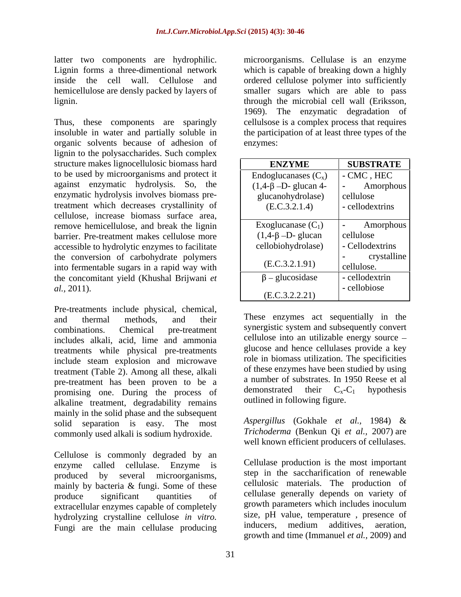latter two components are hydrophilic.<br>Lignin forms a three-dimentional network lignin. through the microbial cell wall (Eriksson,

Thus, these components are sparingly organic solvents because of adhesion of lignin to the polysaccharides. Such complex structure makes lignocellulosic biomass hard to be used by microorganisms and protect it against enzymatic hydrolysis. So, the enzymatic hydrolysis involves biomass pretreatment which decreases crystallinity of cellulose, increase biomass surface area, remove hemicellulose, and break the lignin barrier. Pre-treatment makes cellulose more accessible to hydrolytic enzymes to facilitate the conversion of carbohydrate polymers into fermentable sugars in a rapid way with the concomitant yield (Khushal Brijwani *et* 

Pre-treatments include physical, chemical, includes alkali, acid, lime and ammonia treatments while physical pre-treatments include steam explosion and microwave treatment (Table 2). Among all these, alkali pre-treatment has been proven to be a number of substrates. In 1950 Reese et al<br>promising one During the process of demonstrated their  $C_x-C_1$  hypothesis promising one. During the process of alkaline treatment, degradability remains mainly in the solid phase and the subsequent solid separation is easy. The most commonly used alkali is sodium hydroxide.

Cellulose is commonly degraded by an produced by several microorganisms, mainly by bacteria & fungi. Some of these extracellular enzymes capable of completely hydrolyzing crystalline cellulose *in vitro*. size, pH value, temperature, presence of Eunoi are the main cellulase producing inducers, medium additives, aeration, Fungi are the main cellulase producing

Lignin forms a three-dimentional network which is capable of breaking down a highly inside the cell wall. Cellulose and ordered cellulose polymer into sufficiently hemicellulose are densly packed by layers of smaller sugars which are able to pass insoluble in water and partially soluble in the participation of at least three types of the microorganisms. Cellulase is an enzyme through the microbial cell wall (Eriksson, 1969). The enzymatic degradation of cellulsose is a complex process that requires enzymes:

| structure makes lignocellulosic biomass hard   | <b>ENZYME</b>                 | <b>SUBSTRATE</b> |
|------------------------------------------------|-------------------------------|------------------|
| to be used by microorganisms and protect it    | Endoglucanases $(C_x)$        | $-CMC$ , $HEC$   |
| against enzymatic hydrolysis. So, the          | $(1,4-\beta - D)$ - glucan 4- | Amorphous        |
| enzymatic hydrolysis involves biomass pre-     | glucanohydrolase)             | cellulose        |
| treatment which decreases crystallinity of     | (E.C.3.2.1.4)                 | - cellodextrins  |
| cellulose, increase biomass surface area,      |                               |                  |
| remove hemicellulose, and break the lignin     | Exoglucanase $(C_1)$          | Amorphous        |
| barrier. Pre-treatment makes cellulose more    | $(1,4-\beta - D)$ - glucan    | cellulose        |
| accessible to hydrolytic enzymes to facilitate | cellobiohydrolase)            | - Cellodextrins  |
| the conversion of carbohydrate polymers        |                               | crystalline      |
| into fermentable sugars in a rapid way with    | (E.C.3.2.1.91)                | cellulose.       |
| the concomitant yield (Khushal Brijwani et     | $\beta$ – glucosidase         | - cellodextrin   |
| <i>al.</i> , 2011).                            | (E.C.3.2.2.21)                | - cellobiose     |

and thermal methods, and their These enzymes act sequentially in the combinations. Chemical pre-treatment synergistic system and subsequently convert cellulose into an utilizable energy source glucose and hence cellulases provide a key role in biomass utilization. The specificities of these enzymes have been studied by using a number of substrates. In 1950 Reese et al demonstrated their  $C_x-C_1$  hypothesis outlined in following figure.

> *Aspergillus* (Gokhale *et al.,* 1984) & *Trichoderma* (Benkun Qi *et al.,* 2007) are well known efficient producers of cellulases.

enzyme called cellulase. Enzyme is Cellulase production is the most important produce significant quantities of cellulase generally depends on variety of step in the saccharification of renewable cellulosic materials. The production of growth parameters which includes inoculum size, pH value, temperature , presence of inducers, medium additives, aeration, growth and time (Immanuel *et al.,* 2009) and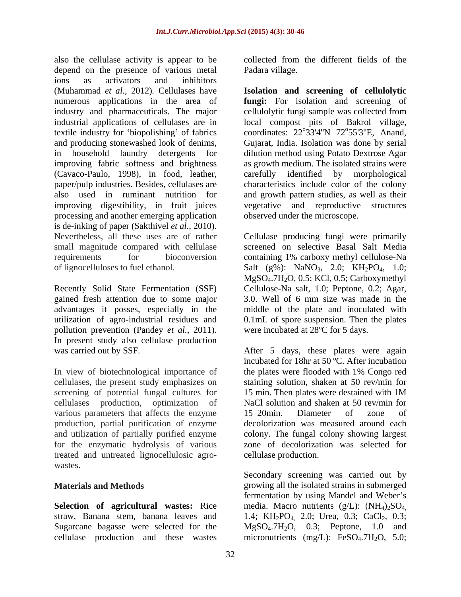also the cellulase activity is appear to be depend on the presence of various metal ions as activators and inhibitors (Muhammad *et al.,* 2012)*.* Cellulases have **Isolation and screening of cellulolytic** numerous applications in the area of **fungi:** For isolation and screening of industry and pharmaceuticals. The major industrial applications of cellulases are in local compost pits of Bakrol village, textile industry for 'biopolishing' of fabrics coordinates:  $22^{\circ}33'4''N$   $72^{\circ}55'3''E$ , Anand, and producing stonewashed look of denims, Gujarat, India. Isolation was done by serial in household laundry detergents for dilution method using Potato Dextrose Agar improving fabric softness and brightness (Cavaco-Paulo, 1998), in food, leather, carefully identified by morphological paper/pulp industries. Besides, cellulases are characteristics include color of the colony also used in ruminant nutrition for and growth pattern studies, as well as their improving digestibility, in fruit juices processing and another emerging application is de-inking of paper (Sakthivel *et al.,* 2010). Nevertheless, all these uses are of rather Cellulase producing fungi were primarily small magnitude compared with cellulase screened on selective Basal Salt Media requirements for bioconversion containing 1% carboxy methyl cellulose-Na

Recently Solid State Fermentation (SSF) Cellulose-Na salt, 1.0; Peptone, 0.2; Agar, gained fresh attention due to some major 3.0. Well of 6 mm size was made in the advantages it posses, especially in the middle of the plate and inoculated with utilization of agro-industrial residues and 0.1mL of spore suspension. Then the plates pollution prevention (Pandey *et al.,* 2011). In present study also cellulase production

cellulases, the present study emphasizes on screening of potential fungal cultures for 15 min. Then plates were destained with 1M various parameters that affects the enzyme 15–20 min. Diameter of zone of and utilization of partially purified enzyme<br>for the enzymatic hydrolysis of various treated and untreated lignocellulosic agro wastes.

collected from the different fields of the Padara village.

cellulolytic fungi sample was collected from 33'4"N  $72^{\circ}55'3''E$ , Anand,  $0.5512$ <sup>U</sup>E Anond as growth medium. The isolated strains were vegetative and reproductive observed under the microscope.

of lignocelluloses to fuel ethanol. Salt  $(g\%)$ : NaNO<sub>3</sub>, 2.0; KH<sub>2</sub>PO<sub>4</sub>, 1.0;  $MgSO<sub>4</sub>.7H<sub>2</sub>O$ , 0.5; KCl, 0.5; Carboxymethyl were incubated at 28ºC for 5 days.

was carried out by SSF. After 5 days, these plates were again In view of biotechnological importance of the plates were flooded with 1% Congo red cellulases production, optimization of NaCl solution and shaken at 50 rev/min for production, partial purification of enzyme decolorization was measured around each for the enzymatic hydrolysis of various zone of decolorization was selected for incubated for 18hr at 50 ºC. After incubation staining solution, shaken at 50 rev/min for 15 min. Then plates were destained with 1M 15 20min. Diameter of zone of colony. The fungal colony showing largest cellulase production.

**Materials and Methods** growing all the isolated strains in submerged **Selection of agricultural wastes:** Rice media. Macro nutrients (g/L): (NH4)2SO4, straw, Banana stem, banana leaves and  $1.4$ ;  $KH_2PO_{4}$ , 2.0; Urea, 0.3; CaCl<sub>2</sub>, 0.3; Sugarcane bagasse were selected for the MgSO<sub>4</sub>.7H<sub>2</sub>O, 0.3; Peptone, 1.0 and cellulase production and these wastes micronutrients  $(mg/L)$ : FeSO<sub>4</sub>.7H<sub>2</sub>O, 5.0; Secondary screening was carried out by fermentation by using Mandel and Weber's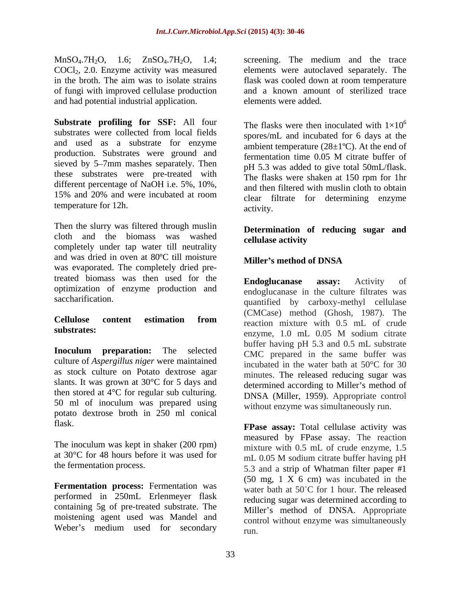MnSO<sub>4</sub>.7H<sub>2</sub>O, 1.6; ZnSO<sub>4</sub>.7H<sub>2</sub>O, 1.4; COCl<sub>2</sub>, 2.0. Enzyme activity was measured of fungi with improved cellulase production and had potential industrial application.

**Substrate profiling for SSF:** All four substrates were collected from local fields spores/mL and incubated for 6 days at the and used as a substrate for enzyme production. Substrates were ground and fermentation time 0.05 M citrate buffer of sieved by 5–7mm mashes separately. Then these substrates were pre-treated with different percentage of NaOH i.e. 5%, 10%, 15% and 20% and were incubated at room temperature for 12h. activity.

Then the slurry was filtered through muslin cloth and the biomass was washed cellulase activity completely under tap water till neutrality and was dried in oven at 80°C till moisture<br>Miller's method of DNSA was evaporated. The completely dried pretreated biomass was then used for the **Endoglucanase assay:** Activity of optimization of enzyme production and

culture of *Aspergillus niger* were maintained as stock culture on Potato dextrose agar slants. It was grown at 30°C for 5 days and then stored at  $4^{\circ}$ C for regular sub culturing. 50 ml of inoculum was prepared using potato dextrose broth in 250 ml conical

The inoculum was kept in shaker (200 rpm) at  $30^{\circ}$ C for 48 hours before it was used for  $\frac{\text{mH}}{\text{mL}}$  0.05 M sodium citrate buffer having pH

**Fermentation process:** Fermentation was performed in 250mL Erlenmeyer flask containing 5g of pre-treated substrate. The moistening agent used was Mandel and

COCl2, 2.0. Enzyme activity was measured elements were autoclaved separately. The in the broth. The aim was to isolate strains flask was cooled down at room temperature screening. The medium and the trace and a known amount of sterilized trace elements were added.

> The flasks were then inoculated with  $1\times10^{6}$ 6 spores/mL and incubated for 6 days at the ambient temperature  $(28\pm1\textdegree C)$ . At the end of fermentation time 0.05 M citrate buffer of pH 5.3 was added to give total 50mL/flask. The flasks were shaken at 150 rpm for 1hr and then filtered with muslin cloth to obtain clear filtrate for determining enzyme activity.

### **Determination of reducing sugar and cellulase activity**

## **Miller s method of DNSA**

saccharification. 
<br>
quantified by carboxy-methyl cellulase **Cellulose content estimation from** substrates:<br>enzyme, 1.0 mL 0.05 M sodium citrate **Inoculum preparation:** The selected CMC prepared in the same buffer was **Endoglucanase assay:** Activity of endoglucanase in the culture filtrates was (CMCase) method (Ghosh, 1987). The reaction mixture with 0.5 mL of crude enzyme, 1.0 mL 0.05 M sodium citrate buffer having pH 5.3 and 0.5 mL substrate CMC prepared in the same buffer was incubated in the water bath at 50°C for 30 minutes. The released reducing sugar was determined according to Miller's method of DNSA (Miller, 1959). Appropriate control without enzyme was simultaneously run.

flask. **FPase assay:** Total cellulase activity was the fermentation process.<br>
5.3 and a strip of Whatman filter paper #1 Weber's medium used for secondary  $_{\text{run}}$ measured by FPase assay. The reaction mixture with 0.5 mL of crude enzyme, 1.5 mL 0.05 M sodium citrate buffer having pH (50 mg, 1 X 6 cm) was incubated in the water bath at 50°C for 1 hour. The released reducing sugar was determined according to Miller's method of DNSA. Appropriate control without enzyme was simultaneously run.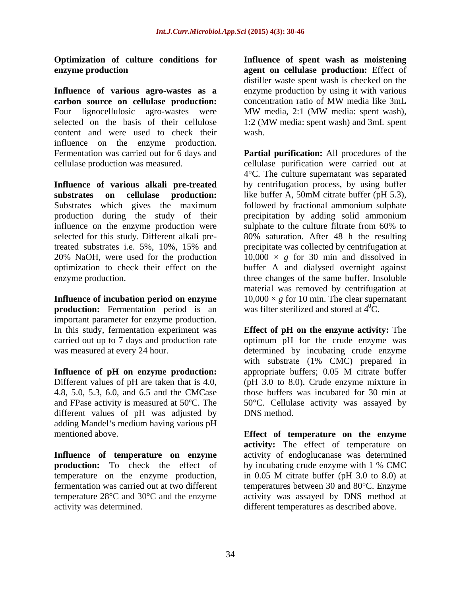**Influence of various agro-wastes as a** enzyme production by using it with various **carbon source on cellulase production:** Four lignocellulosic agro-wastes were MW media, 2:1 (MW media: spent wash), selected on the basis of their cellulose 1:2 (MW media: spent wash) and 3mL spent content and were used to check their influence on the enzyme production. Fermentation was carried out for 6 days and **Partial purification:** All procedures of the

**Influence of various alkali pre-treated substrates on cellulase production:** influence on the enzyme production were sulphate to the culture filtrate from 60% to treated substrates i.e. 5%, 10%, 15% and

**production:** Fermentation period is an important parameter for enzyme production.

**Influence** of **pH** on enzyme production: appropriate buffers; 0.05 M citrate buffer Different values of pH are taken that is 4.0, 4.8, 5.0, 5.3, 6.0, and 6.5 and the CMCase different values of pH was adjusted by DNS method. adding Mandel's medium having various pH

**production:** To check the effect of by incubating crude enzyme with 1 % CMC activity was determined. different temperatures as described above.

**Optimization of culture conditions for Influence of spent wash as moistening enzyme production agent on cellulase production:** Effect of distiller waste spent wash is checked on the concentration ratio of MW media like 3mL MW media, 2:1 (MW media: spent wash), 1:2 (MW media: spent wash) and 3mL spent wash.

cellulase production was measured. cellulase purification were carried out at Substrates which gives the maximum followed by fractional ammonium sulphate production during the study of their precipitation by adding solid ammonium selected for this study. Different alkali pre-80% saturation. After 48 h the resulting 20% NaOH, were used for the production  $10,000 \times g$  for 30 min and dissolved in optimization to check their effect on the buffer A and dialysed overnight against enzyme production. three changes of the same buffer. Insoluble **Influence of incubation period on enzyme** 10,000 × *g* for 10 min. The clear supernatant 4°C. The culture supernatant was separated by centrifugation process, by using buffer like buffer A, 50mM citrate buffer (pH 5.3), sulphate to the culture filtrate from 60% to precipitate was collected by centrifugation at material was removed by centrifugation at was filter sterilized and stored at  $4^0C$ .

In this study, fermentation experiment was **Effect of pH on the enzyme activity:** The carried out up to 7 days and production rate optimum pH for the crude enzyme was was measured at every 24 hour. determined by incubating crude enzyme and FPase activity is measured at 50ºC. The 50°C. Cellulase activity was assayed by with substrate (1% CMC) prepared in appropriate buffers; 0.05 M citrate buffer (pH 3.0 to 8.0). Crude enzyme mixture in those buffers was incubated for 30 min at DNS method.

mentioned above. **Effect of temperature on the enzyme Influence of temperature on enzyme** activity of endoglucanase was determined temperature on the enzyme production, in 0.05 M citrate buffer (pH 3.0 to 8.0) at fermentation was carried out at two different temperatures between 30 and 80°C. Enzyme temperature 28°C and 30°C and the enzyme activity was assayed by DNS method at **activity:** The effect of temperature on by incubating crude enzyme with 1 % CMC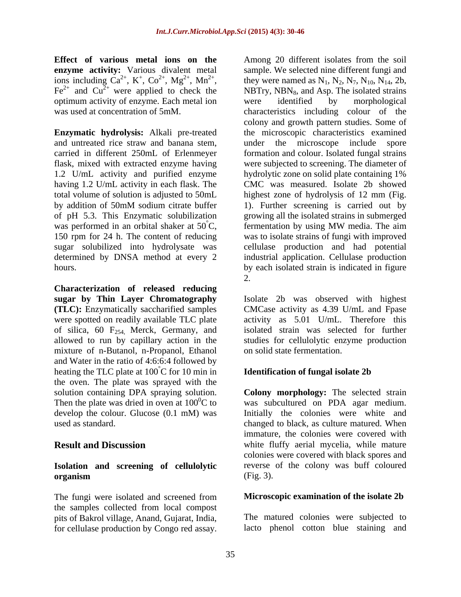**Effect** of **various metal ions** on **the**<br> **enzyme activity:** Various divalent metal sample. We selected nine different fungi and  $Fe^{2+}$  and  $Cu^{2+}$  were applied to check the optimum activity of enzyme. Each metal ion

and untreated rice straw and banana stem, under the microscope include spore

**Characterization of released reducing sugar by Thin Layer Chromatography** Isolate 2b was observed with highest **(TLC):** Enzymatically saccharified samples CMCase activity as 4.39 U/mL and Fpase were spotted on readily available TLC plate activity as 5.01 U/mL. Therefore this of silica,  $60$  F<sub>254</sub>, Merck, Germany, and allowed to run by capillary action in the mixture of n-Butanol, n-Propanol, Ethanol and Water in the ratio of 4:6:6:4 followed by heating the TLC plate at  $100^{\circ}$ C for 10 min in the oven. The plate was sprayed with the solution containing DPA spraying solution. Then the plate was dried in oven at  $100^{\circ}$ C to was subcultured on PDA agar medium. develop the colour. Glucose (0.1 mM) was Initially the colonies were white and used as standard. The changed to black, as culture matured. When

### **Isolation and screening of cellulolytic organism** (Fig. 3).

The fungi were isolated and screened from the samples collected from local compost pits of Bakrol village, Anand, Gujarat, India,

**enzyme** activity: Various divalent metal sample. We selected nine different fungi and ions including  $Ca^{2+}$ , K<sup>+</sup>, Co<sup>2+</sup>, Mg<sup>2+</sup>, Mn<sup>2+</sup>, they were named as N<sub>1</sub>, N<sub>2</sub>, N<sub>7</sub>, N<sub>10</sub>, N<sub>14</sub>, 2b, were applied to check the MBTry, NBN<sub>8</sub>, and Asp. The isolated strains was used at concentration of 5mM. characteristics including colour of the **Enzymatic hydrolysis:** Alkali pre-treated the microscopic characteristics examined carried in different 250mL of Erlenmeyer formation and colour. Isolated fungal strains flask, mixed with extracted enzyme having were subjected to screening. The diameter of 1.2 U/mL activity and purified enzyme hydrolytic zone on solid plate containing 1% having 1.2 U/mL activity in each flask. The CMC was measured. Isolate 2b showed total volume of solution is adjusted to 50mL highest zone of hydrolysis of 12 mm (Fig. by addition of 50mM sodium citrate buffer 1). Further screening is carried out by of pH 5.3. This Enzymatic solubilization growing all the isolated strains in submerged was performed in an orbital shaker at  $50^{\circ}$ C, fermentation by using MW media. The aim 150 rpm for 24 h. The content of reducing was to isolate strains of fungi with improved sugar solubilized into hydrolysate was cellulase production and had potential determined by DNSA method at every 2 industrial application. Cellulase production hours. by each isolated strain is indicated in figure **Effect of the size of**  $\sim$  **cellulase and the soil of the soil of the soil of the soil of the soil of the soil of the soil of the soil of the soil of the soil of the soil of the soil of the soil of the soil of the soil of** were identified by morphological colony and growth pattern studies. Some of under the microscope include fermentation by using MW media. The aim 2.

isolated strain was selected for further studies for cellulolytic enzyme production on solid state fermentation.

### **Identification of fungal isolate 2b**

**Result and Discussion white fluffy aerial mycelia**, while mature **Colony morphology:** The selected strain immature, the colonies were covered with colonies were covered with black spores and reverse of the colony was buff coloured (Fig. 3).

### **Microscopic examination of the isolate 2b**

The matured colonies were subjected to lacto phenol cotton blue staining and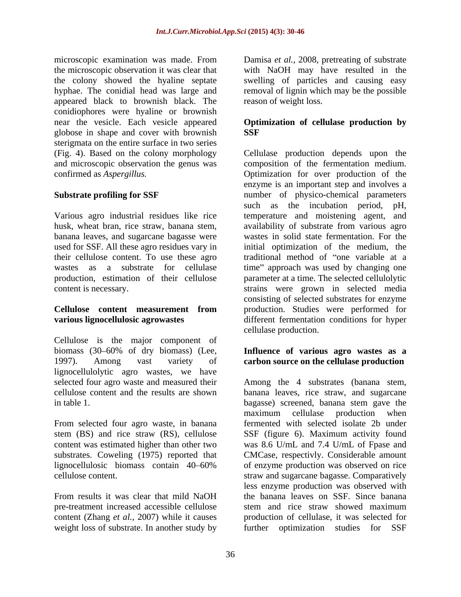microscopic examination was made. From Damisa *et al.,* 2008, pretreating of substrate the microscopic observation it was clear that with NaOH may have resulted in the the colony showed the hyaline septate swelling of particles and causing easy hyphae. The conidial head was large and removal of lignin which may be the possible appeared black to brownish black. The conidiophores were hyaline or brownish near the vesicle. Each vesicle appeared **Optimization of cellulase production by** globose in shape and cover with brownish sterigmata on the entire surface in two series

banana leaves, and sugarcane bagasse were their cellulose content. To use these agro

Cellulose is the major component of biomass (30 60% of dry biomass) (Lee, **Influence of various agro wastes as a** 1997). Among vast variety of **carbon source on the cellulase production** lignocellulolytic agro wastes, we have selected four agro waste and measured their

From selected four agro waste, in banana

pre-treatment increased accessible cellulose content (Zhang *et al.*, 2007) while it causes<br>weight loss of substrate. In another study by weight loss of substrate. In another study by further optimization studies for SSF

reason of weight loss.

# **SSF**

(Fig. 4). Based on the colony morphology Cellulase production dependsupon the and microscopic observation the genus was composition of the fermentation medium. confirmed as *Aspergillus.* Optimization for over production of the **Substrate profiling for SSF**  number of physico-chemical parameters Various agro industrial residues like rice temperature and moistening agent, and husk, wheat bran, rice straw, banana stem, availability of substrate from various agro used for SSF. All these agro residues vary in initial optimization of the medium, the wastes as a substrate for cellulase time" approach was used by changing one production, estimation of their cellulose parameter at a time. The selected cellulolytic content is necessary. strains were grown in selected media **Cellulose content measurement from** production. Studies were performed for **various lignocellulosic agrowastes** different fermentation conditions for hyper enzyme is an important step and involves a such as the incubation period, pH, wastes in solid state fermentation. For the traditional method of "one variable at a consisting of selected substrates for enzyme cellulase production.

cellulose content and the results are shown banana leaves, rice straw, and sugarcane in table 1. bagasse) screened, banana stem gave the stem (BS) and rice straw (RS), cellulose SSF (figure 6). Maximum activity found content was estimated higher than other two was 8.6 U/mL and 7.4 U/mL of Fpase and substrates. Coweling (1975) reported that CMCase, respectivly. Considerable amount lignocellulosic biomass contain 40 60% of enzyme production was observed on rice cellulose content. Settlem and sugarcane bagasse. Comparatively From results it was clear that mild NaOH the banana leaves on SSF. Since banana Among the 4 substrates (banana stem, maximum cellulase production when fermented with selected isolate 2b under less enzyme production was observed with the banana leaves on SSF. Since banana stem and rice straw showed maximum production of cellulase, it was selected for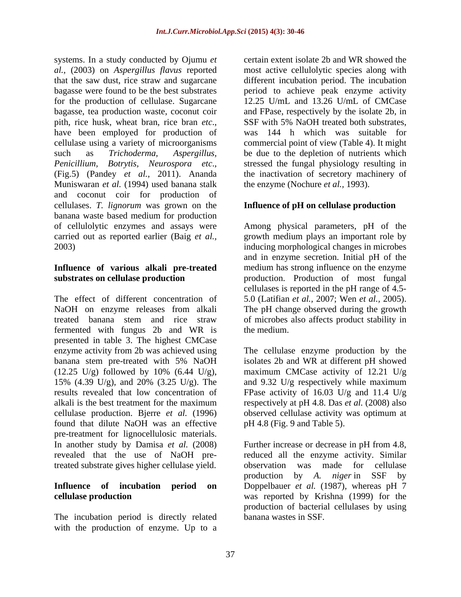systems. In a study conducted by Ojumu *et al.,* (2003) on *Aspergillus flavus* reported that the saw dust, rice straw and sugarcane different incubation period. The incubation bagasse were found to be the best substrates period to achieve peak enzyme activity for the production of cellulase. Sugarcane 12.25 U/mL and 13.26 U/mL of CMCase bagasse, tea production waste, coconut coir and FPase, respectively by the isolate 2b, in pith, rice husk, wheat bran, rice bran *etc*.,<br>have been employed for production of was 144 h which was suitable for cellulase using a variety of microorganisms commercial point of view (Table 4). It might such as *Trichoderma*, *Aspergillus*, be due to the depletion of nutrients which *Penicillium, Botrytis, Neurospora etc*., stressed the fungal physiology resulting in (Fig.5) (Pandey *et al.,* 2011). Ananda the inactivation of secretory machinery of Muniswaran *et al.* (1994) used banana stalk and coconut coir for production of cellulases. *T. lignorum* was grown on the **Influence of pH on cellulase production** banana waste based medium for production of cellulolytic enzymes and assays were Among physical parameters, pH of the carried out as reported earlier (Baig *et al.,* growth medium plays an important role by

The effect of different concentration of 5.0 (Latifian *et al.,* 2007; Wen *et al.,* 2005). NaOH on enzyme releases from alkali The pH change observed during the growth treated banana stem and rice straw of microbes also affects product stability in fermented with fungus 2b and WR is presented in table 3. The highest CMCase enzyme activity from 2b was achieved using The cellulase enzyme production by the banana stem pre-treated with 5% NaOH isolates 2b and WR at different pH showed  $(12.25 \text{ U/g})$  followed by 10%  $(6.44 \text{ U/g})$ , maximum CMCase activity of 12.21 U/g 15% (4.39 U/g), and 20% (3.25 U/g). The and 9.32 U/g respectively while maximum results revealed that low concentration of FPase activity of 16.03 U/g and 11.4 U/g alkali is the best treatment for the maximum respectively at pH 4.8. Das *et al.* (2008) also cellulase production. Bjerre *et al.* (1996) found that dilute NaOH was an effective pre-treatment for lignocellulosic materials. In another study by Damisa *et al.* (2008) Further increase or decrease in pH from 4.8, revealed that the use of NaOH pre-reduced all the enzyme activity. Similar treated substrate gives higher cellulase yield.

The incubation period is directly related with the production of enzyme. Up to a

certain extent isolate 2b and WR showed the most active cellulolytic species along with SSF with 5% NaOH treated both substrates, was 144 h which was suitable for the enzyme (Nochure *et al.,* 1993).

2003) inducing morphological changes in microbes **Influence of various alkali pre-treated**  medium has strong influence on the enzyme **substrates on cellulase production production.** Production of most fungal and in enzyme secretion. Initial pH of the cellulases is reported in the pH range of 4.5 the medium.

> isolates 2b and WR at different pH showed observed cellulase activity was optimum at pH 4.8 (Fig. 9 and Table 5).

**Influence of incubation period on** Doppelbauer *et al.* (1987), whereas pH 7 **cellulase production** was reported by Krishna (1999) for the observation was made for cellulase production by *A. niger* in SSF by production of bacterial cellulases by using banana wastes in SSF.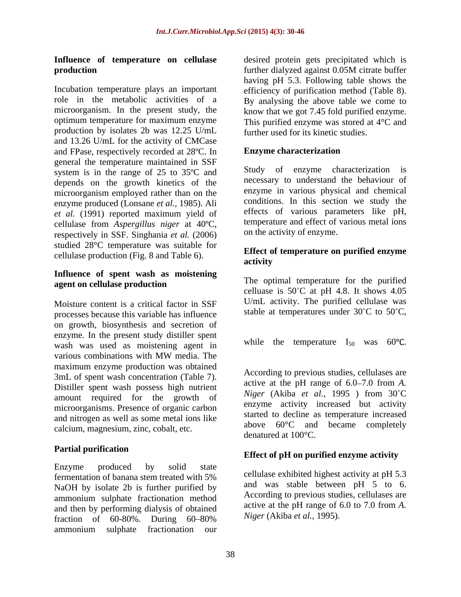# **production production production production production production production production production production production production production production production production production**

Incubation temperature plays an important efficiency of purification method (Table 8). role in the metabolic activities of a By analysing the above table we come to microorganism. In the present study, the know that we got 7.45 fold purified enzyme. optimum temperature for maximum enzyme This purified enzyme was stored at 4°C and production by isolates 2b was 12.25 U/mL and 13.26 U/mL for the activity of CMCase and FPase, respectively recorded at 28°C. In Enzyme characterization general the temperature maintained in SSF system is in the range of 25 to 35ºC and depends on the growth kinetics of the microorganism employed rather than on the enzyme produced (Lonsane *et al.,* 1985). Ali *et al.* (1991) reported maximum yield of cellulase from *Aspergillus niger* at 40ºC, respectively in SSF. Singhania *et al.* (2006) studied 28°C temperature was suitable for cellulase production (Fig. 8 and Table 6). **Ellect 0**<br>activity

### **Influence of spent wash as moistening agent on cellulase production**

Moisture content is a critical factor in SSF processes because this variable has influence on growth, biosynthesis and secretion of enzyme. In the present study distiller spent<br>while the temperature  $I_{50}$  was 60°C. wash was used as moistening agent in various combinations with MW media. The maximum enzyme production was obtained<br>  $2m<sup>T</sup>$  of speak weak consentration (Teble 7) According to previous studies, cellulases are 3mL of spent wash concentration (Table 7). Distiller spent wash possess high nutrient amount required for the growth of microorganisms. Presence of organic carbon and nitrogen as well as some metal ions like calcium, magnesium, zinc, cobalt, etc.

## **Partial purification**

Enzyme produced by solid state fermentation of banana stem treated with 5% NaOH by isolate 2b is further purified by ammonium sulphate fractionation method and then by performing dialysis of obtained fraction of  $60-80\%$ . During  $60-80\%$ ammonium sulphate fractionation our

**Influence of temperature on cellulase** desired protein gets precipitated which is further dialyzed against 0.05M citrate buffer having pH 5.3. Following table shows the further used for its kinetic studies.

### **Enzyme characterization**

Study of enzyme characterization is necessary to understand the behaviour of enzyme in various physical and chemical conditions. In this section we study the effects of various parameters like pH, temperature and effect of various metal ions on the activity of enzyme.

### **Effect of temperature on purified enzyme activity**

The optimal temperature for the purified celluase is  $50^{\circ}$ C at pH 4.8. It shows 4.05 U/mL activity. The purified cellulase was stable at temperatures under  $30^{\circ}$ C to  $50^{\circ}$ C.

while the temperature  $I_{50}$  was 60°C.<br>According to previous studies, cellulases are active at the pH range of 6.0–7.0 from A. *Niger* (Akiba *et al.,* 1995 ) from 30 C enzyme activity increased but activity started to decline as temperature increased above 60°C and became completely denatured at 100°C.

### **Effect of pH on purified enzyme activity**

cellulase exhibited highest activity at pH 5.3 and was stable between pH 5 to 6. According to previous studies, cellulases are active at the pH range of 6.0 to 7.0 from *A. Niger* (Akiba *et al.,* 1995).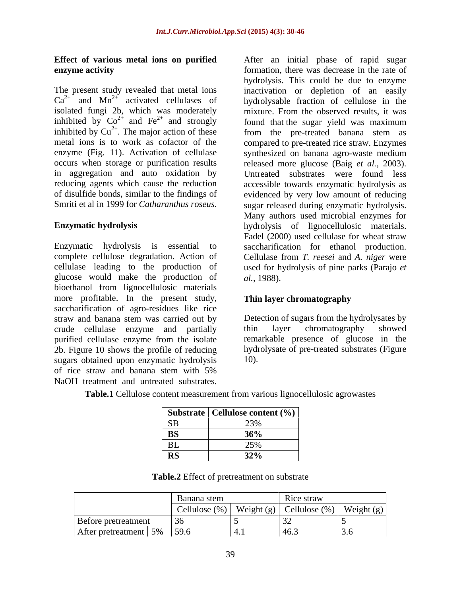# **Effect of various metal ions on purified**

The present study revealed that metal ions inactivation or depletion of an easily  $Ca^{2+}$  and  $Mn^{2+}$  activated cellulases of isolated fungi 2b, which was moderately isolated fungi 2b, which was moderately mixture. From the observed results, it was inhibited by  $Co^{2+}$  and  $Fe^{2+}$  and strongly inhibited by  $Cu^{2+}$ . The major action of these from the pre-treated banana stem as inhibited by  $Cu^{2+}$ . The major action of these metal ions is to work as cofactor of the compared to pre-treated rice straw. Enzymes enzyme (Fig. 11). Activation of cellulase synthesized on banana agro-waste medium occurs when storage or purification results released more glucose (Baig *et al.,* 2003). in aggregation and auto oxidation by Untreated substrates were found less reducing agents which cause the reduction accessible towards enzymatic hydrolysis as of disulfide bonds, similar to the findings of evidenced by very low amount of reducing

Enzymatic hydrolysis is essential to saccharification for ethanol production. complete cellulose degradation. Action of Cellulase from *T. reesei* and *A. niger* were cellulase leading to the production of used for hydrolysis of pine parks (Parajo *et*  glucose would make the production of *al.*, 1988). bioethanol from lignocellulosic materials more profitable. In the present study, saccharification of agro-residues like rice straw and banana stem was carried out by Detection of sugars from the hydrolysates by crude cellulase enzyme and partially thin layer chromatography showed purified cellulase enzyme from the isolate 2b. Figure 10 shows the profile of reducing sugars obtained upon enzymatic hydrolysis 10. of rice straw and banana stem with 5%

**enzyme activity enzyme activity enzyme activity enzyme activity end e** to **e** to **e** to **e** to **e** to **e** to **e** to **e** to **e** to **e** to **e** to **e** to **e** to **e** to **e** to **e** to **e** to **e** to **e** to **e** to **e** and  $Mn^{2+}$  activated cellulases of hydrolysable fraction of cellulose in the  $2^+$  and Fe<sup>2+</sup> and strongly found that the sugar yield was maximum Smriti et al in 1999 for *Catharanthus roseus.* sugar released during enzymatic hydrolysis. **Enzymatic hydrolysis** hydrolysis of lignocellulosic materials. **Effect of variancy metallies and internal phase of rapid sugar except<br>frequency mentallies that constrained that the substrates of rapid the substrates of rapid signal<br>tend the substrate decision in the simulated funging** hydrolysis. This could be due to enzyme Many authors used microbial enzymes for Fadel (2000) used cellulase for wheat straw *al.,* 1988).

### **Thin layer chromatography**

thin layer chromatography showed remarkable presence of glucose in the hydrolysate of pre-treated substrates (Figure 10).

**Table.1** Cellulose content measurement from various lignocellulosic agrowastes

|                             | Substrate   Cellulose content (%) |
|-----------------------------|-----------------------------------|
|                             | 23%                               |
| $\mathbf{m}$ $\alpha$<br>טע | 200<br>JU/0                       |
| n T<br>ப                    | 25%                               |
| DC<br>$\sim$                | 32%                               |

**Table.2** Effect of pretreatment on substrate

|                                | anana stem | Rice straw                                              |        |
|--------------------------------|------------|---------------------------------------------------------|--------|
|                                |            | Cellulose $(\%)$ Weight (g) Cellulose $(\%)$ Weight (g) | $\sim$ |
| Before pretreatment            |            |                                                         |        |
| After pretreatment   5%   59.6 |            |                                                         |        |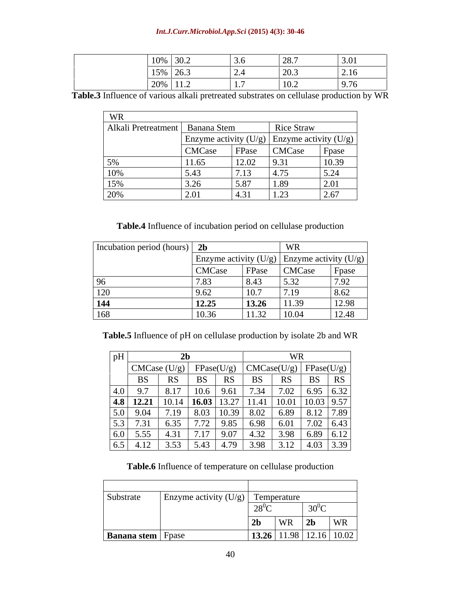### *Int.J.Curr.Microbiol.App.Sci* **(2015) 4(3): 30-46**

**Table.3** Influence of various alkali pretreated substrates on cellulase production by WR

| WR                                |                       |                      |                                             |                                            |
|-----------------------------------|-----------------------|----------------------|---------------------------------------------|--------------------------------------------|
| Alkali Pretreatment   Banana Stem |                       |                      | Rice Straw                                  |                                            |
|                                   |                       |                      | Enzyme activity (U/g) Enzyme activity (U/g) |                                            |
|                                   | CMCase                | FPase                | CMCase                                      | Fpase                                      |
| 5%                                | 11.65                 | 12.02                | 9.31                                        | 10.39                                      |
| 10%                               |                       | $\sqrt{7}13$<br>1.1J | 4.75                                        | 5.24                                       |
| 15%                               | $\sim$ $\sim$<br>3.ZO | 5.87                 | 1.89                                        | $\bigcap$ $\bigcap$ 1<br>$\angle . \cup 1$ |
| 20%                               | 2.01                  | 4.31                 | 1.23                                        | 2.67                                       |

**Table.4** Influence of incubation period on cellulase production

| Incubation period (hours) 2b |                                                 |             |                                  |       |
|------------------------------|-------------------------------------------------|-------------|----------------------------------|-------|
|                              | Enzyme activity $(U/g)$ Enzyme activity $(U/g)$ |             |                                  |       |
|                              | <b>CMCase</b>                                   | FPase       | CMCase                           | Fpase |
|                              | $\cdot\!\!\sim\!\!\sim$                         | 8.43        | $\sqrt{5}$ 22<br>ັບ ∙ັບ <i>⊨</i> | 7.92  |
| $\overline{\Omega}$<br>⊥∠∪   | 9.62                                            | 10r<br>10.1 | 17.19                            | 8.62  |
| 144                          | 12.25                                           | 13.26       | 11.39                            | 12.98 |
| 168                          | 10.36                                           | 11.32       | 10.04                            | 12.48 |

**Table.5** Influence of pH on cellulase production by isolate 2b and WR

| pH                                     |                                                                                            |                                 |                                 |      |            |      |                                                |    |
|----------------------------------------|--------------------------------------------------------------------------------------------|---------------------------------|---------------------------------|------|------------|------|------------------------------------------------|----|
|                                        |                                                                                            | $ $ CMCase (U/g) $ $ FPase(U/g) |                                 |      |            |      | $\vert$ CMCase(U/g) $\vert$ FPase(U/g) $\vert$ |    |
|                                        | D <sub>2</sub>                                                                             | L''                             | ມມ                              | RS   | BS         | RS   | <b>BS</b>                                      | RS |
| and the state of the state of the      |                                                                                            | 8.17                            | 10.6                            | 9.61 | 7.34       | 7.02 | 6.95 6.32                                      |    |
|                                        | $\begin{array}{ c c } \hline 4.0 & 9.7 \\ \hline \hline 4.8 & 12.21 \\ \hline \end{array}$ | 10.14                           | $\vert$ 16.03   13.27   11.41   |      |            |      | 10.01   10.03   9.57                           |    |
| $\frac{5.0}{5.3}$<br>$\frac{6.0}{6.5}$ | 9.04                                                                                       | 7.19                            | 8.03                            |      | 10.39 8.02 |      | 6.89   8.12   7.89                             |    |
|                                        | 7.31                                                                                       | 6.35                            | 7.72                            | 9.85 | 6.98       | 6.01 | $7.02$ 6.43                                    |    |
|                                        | 5.55                                                                                       | 4.31                            | $\sqrt{2}$ 1 $\sqrt{2}$<br>1.11 | 9.07 | 4.32       | 3.98 | 6.89 6.12                                      |    |
|                                        | 4.12                                                                                       | 3.53                            | 5.43                            | 4.79 | 3.98       | 3.12 | 4.03 3.39                                      |    |

**Table.6** Influence of temperature on cellulase production

| Substrate                  | Enzyme activity $(U/g)$ Temperature |                                      |                                                    |    |
|----------------------------|-------------------------------------|--------------------------------------|----------------------------------------------------|----|
|                            |                                     | $28^{\circ}C$                        | $30^0C$                                            |    |
|                            |                                     | 2 <sub>b</sub><br>VV IX              | $\sim$ $\sim$ $\sim$<br>$\blacktriangle$ D<br>$ -$ | WR |
| <b>Banana stem</b>   Fpase |                                     | <b>13.26</b>   11.98   12.16   10.02 |                                                    |    |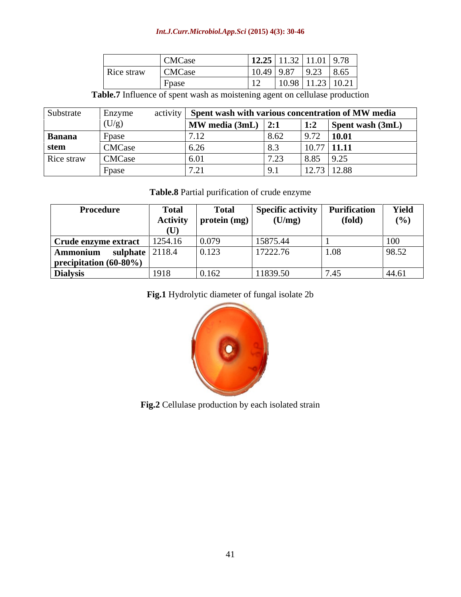### *Int.J.Curr.Microbiol.App.Sci* **(2015) 4(3): 30-46**

| <b>CMCase</b>               | 1221<br>$11.32$   11.01   9.78<br>12.25 |
|-----------------------------|-----------------------------------------|
| <b>CMCase</b><br>Rice straw | $9.23$ 8.65<br>$10.49$ 9.87             |
| $F$ pasc                    | $10.98$   11.23   10.21                 |

**Table.7** Influence of spent wash as moistening agent on cellulase production

| Substrate     | Enzyme        | activity |                                    |             |                                                             | Spent wash with various concentration of MW media |
|---------------|---------------|----------|------------------------------------|-------------|-------------------------------------------------------------|---------------------------------------------------|
|               |               |          | $\vert$ MW media (3mL) $\vert$ 2:1 |             | $\vert \cdot \cdot \cdot \rangle$<br><b>1.4</b>             | $\sqrt{\text{Spent wash}(3mL)}$                   |
| <b>Banana</b> | Hn91<br>u pa  |          |                                    | $U_{\rm L}$ |                                                             | 10.01                                             |
| stem          | <b>CMCase</b> |          | 0.20                               |             | $10.77$ 11.11                                               |                                                   |
| Rice straw    | <b>CMCase</b> |          | 6.0                                | $ -$        | 8.85                                                        | 9.2                                               |
|               | <b>Hnac</b>   |          | $ -$                               |             | 10 <sub>7</sub><br>$\mathbf{1} \mathbf{2} \cdot \mathbf{3}$ | 73   12.88                                        |

**Table.8** Partial purification of crude enzyme

| Procedure                         | <b>Total</b> | Tota.                     | Specific activity $\vert$ | <b>Purification</b> | Yield                        |
|-----------------------------------|--------------|---------------------------|---------------------------|---------------------|------------------------------|
|                                   |              | Activity   protein $(mg)$ | (U/mg)                    | (fold)              | (%)                          |
|                                   |              |                           |                           |                     |                              |
| Crude enzyme extract              | 1254.16      | 0.079                     | 15875.44                  |                     | 100                          |
| $\lambda$ mmonium sulphate 2118.4 |              | 0.123                     | 17222.76                  | 1.08                | 98.52                        |
| precipitation (60-80%)            |              |                           |                           |                     |                              |
| <b>Dialysis</b>                   | 1918         | 0.162                     | 11839.50                  |                     | $\Lambda\Lambda$ 61<br>44.VI |

**Fig.1** Hydrolytic diameter of fungal isolate 2b



**Fig.2** Cellulase production by each isolated strain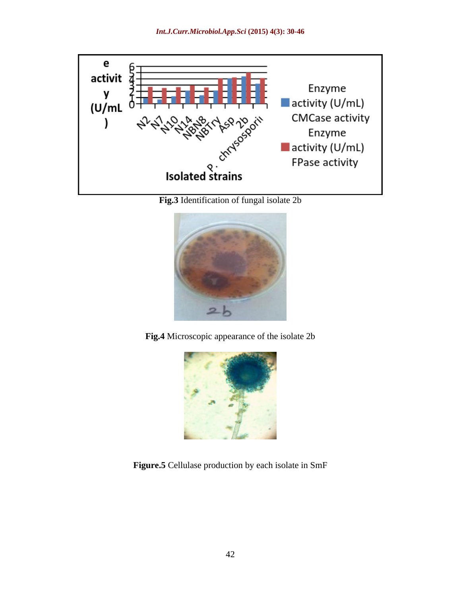

**Fig.3** Identification of fungal isolate 2b



**Fig.4** Microscopic appearance of the isolate 2b



**Figure.5** Cellulase production by each isolate in SmF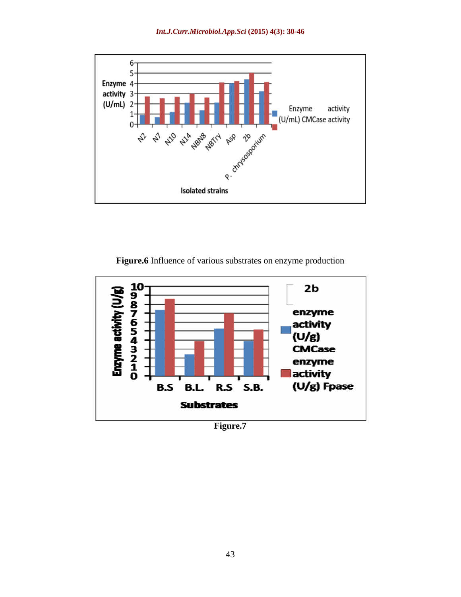

**Figure.6** Influence of various substrates on enzyme production

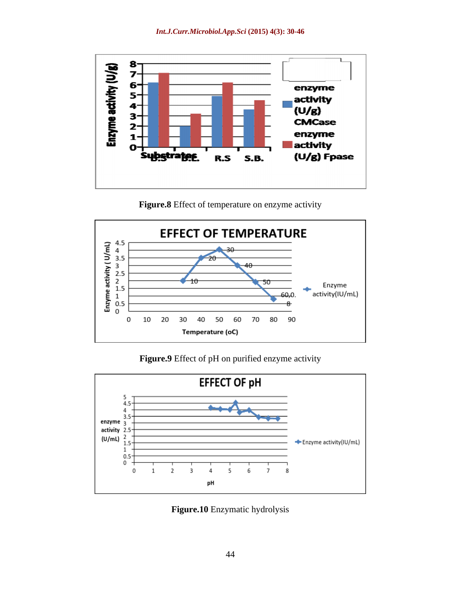

**Figure.8** Effect of temperature on enzyme activity



**Figure.9** Effect of pH on purified enzyme activity



**Figure.10** Enzymatic hydrolysis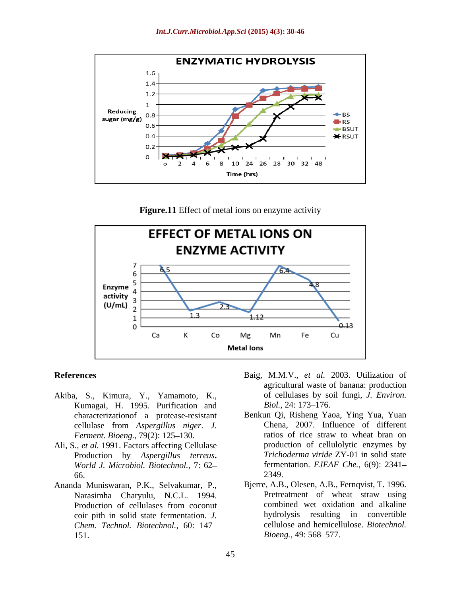

**Figure.11** Effect of metal ions on enzyme activity



- Akiba, S., Kimura, Y., Yamamoto, K., of cellulases by sc<br>Kumagai, H. 1995. Purification and Biol., 24: 173–176. Kumagai, H. 1995. Purification and characterizationof a protease-resistant Benkun Qi, Risheng Yaoa, Ying Yua, Yuan *Ferment. Bioeng., 79(2): 125-130.*
- Ali, S., *et al.* 1991. Factors affecting Cellulase Production by *Aspergillus terreus***.** *World J. Microbiol. Biotechnol.,* 7: 62 66. 2349.
- Ananda Muniswaran, P.K., Selvakumar, P., Narasimha Charyulu, N.C.L. 1994. coir pith in solid state fermentation. *J. Chem. Technol. Biotechnol.,* 60: 147 151. Bioeng., 49: 568–577.
- **References** Baig, M.M.V., *et al.* 2003. Utilization of agricultural waste of banana: production of cellulases by soil fungi, *J. Environ. Biol.,* 24: 173–176.
	- cellulase from *Aspergillus niger*. *J.*  Chena, 2007. Influence of different ratios of rice straw to wheat bran on production of cellulolytic enzymes by *Trichoderma viride* ZY-01 in solid state fermentation. *EJEAF Che.,* 6(9): 2341 2349.
	- Production of cellulases from coconut combined wet oxidation and alkaline Bjerre, A.B., Olesen, A.B., Fernqvist, T. 1996. Pretreatment of wheat straw using combined wet oxidation and alkaline hydrolysis resulting in convertible cellulose and hemicellulose. *Biotechnol. Bioeng.,* 49: 568–577.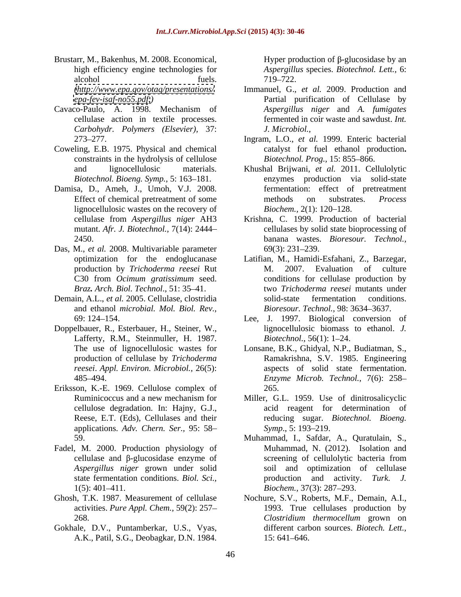- Brustarr, M., Bakenhus, M. 2008. Economical, alcohol fuels. 719–722.
- *Carbohydr. Polymers (Elsevier),* 37:
- Coweling, E.B. 1975. Physical and chemical constraints in the hydrolysis of cellulose
- Damisa, D., Ameh, J., Umoh, V.J. 2008. lignocellulosic wastes on the recovery of Biochem., 2(1): 120–128.
- Das, M., *et al.* 2008. Multivariable parameter production by *Trichoderma reesei* Rut C30 from *Ocimum gratissimum* seed.
- and ethanol *microbial. Mol. Biol. Rev.,*
- Doppelbauer, R., Esterbauer, H., Steiner, W., Lafferty, R.M., Steinmuller, H. 1987. *Biotechnol.*, 56(1): 1–24.<br>The use of lignocellulosic wastes for Lonsane, B.K., Ghidyal, N.P., *reesei*. *Appl. Environ. Microbiol.,* 26(5):
- Eriksson, K.-E. 1969. Cellulose complex of applications. *Adv. Chern. Ser.,* 95: 58
- Fadel, M. 2000. Production physiology of *Aspergillus niger* grown under solid
- 
- Gokhale, D.V., Puntamberkar, U.S., Vyas, A.K., Patil, S.G., Deobagkar, D.N. 1984.

high efficiency engine technologies for *Aspergillus* species. *Biotechnol. Lett.,* 6: Hyper production of  $\beta$ -glucosidase by an 719 722.

- *[\(http://www.epa.gov/otaq/presentations/](http://www.epa.gov/otaq/presentations/)* Immanuel, G., *et al.* 2009. Production and *<epa-fev-isaf-no55.pdf.>)* Partial purification of Cellulase by Cavaco-Paulo, A. 1998. Mechanism of *Aspergillus niger* and A. fumigates cellulase action in textile processes. fermented in coir waste and sawdust. *Int. Aspergillus niger* and *A. fumigates J. Microbiol.,*
	- 273 277. Ingram, L.O., *et al.* 1999. Enteric bacterial catalyst for fuel ethanol production**.** *Biotechnol. Prog., 15: 855-866.*
	- and lignocellulosic materials. Khushal Brijwani, *et al.* 2011. Cellulolytic *Biotechnol. Bioeng. Symp.,* 5: 163 181. enzymes production via solid-state Effect of chemical pretreatment of some methods on substrates. *Process* fermentation: effect of pretreatment methods on substrates. *Process Biochem.,* 2(1): 120–128.
	- cellulase from *Aspergillus niger* AH3 Krishna, C. 1999. Production of bacterial mutant. *Afr. J. Biotechnol.,* 7(14): 2444 cellulases by solid state bioprocessing of 2450. banana wastes. *Bioresour. Technol.,* 69(3): 231 239.
- optimization for the endoglucanase Latifian, M., Hamidi-Esfahani, Z., Barzegar, *Braz. Arch. Biol. Technol*., 51: 35 41. two *Trichoderma reesei* mutants under Demain, A.L., *et al.* 2005. Cellulase, clostridia 2007. Evaluation of culture conditions for cellulase production by solid-state fermentation conditions. *Bioresour. Technol.*, 98: 3634–3637.
	- 69: 124 154. Lee, J. 1997. Biological conversion of lignocellulosic biomass to ethanol. *J. Biotechnol.,* 56(1): 1–24.
	- The use of lignocellulosic wastes for Lonsane, B.K., Ghidyal, N.P., Budiatman, S., production of cellulase by *Trichoderma*  Ramakrishna, S.V. 1985. Engineering 485 494. *Enzyme Microb. Technol.,* 7(6): 258 aspects of solid state fermentation. 265.
	- Ruminicoccus and a new mechanism for Miller, G.L. 1959. Use of dinitrosalicyclic cellulose degradation. In: Hajny, G.J., acid reagent for determination of Reese, E.T. (Eds), Cellulases and their reducing sugar. *Biotechnol. Bioeng. Symp.*, 5: 193–219.
	- 59. Muhammad, I., Safdar, A., Quratulain, S., cellulase and  $\beta$ -glucosidase enzyme of screening of cellulolytic bacteria from state fermentation conditions. *Biol. Sci.,* production and activity. *Turk. J.* 1(5): 401–411. Biochem., 37(3): 287–293. Muhammad, N. (2012). Isolation and screening of cellulolytic bacteria from soil and optimization of cellulase *Biochem.,* 37(3): 287 293.
- Ghosh, T.K. 1987. Measurement of cellulase Nochure, S.V., Roberts, M.F., Demain, A.I., activities. *Pure Appl. Chem.,* 59(2): 257 1993. True cellulases production by 268. *Clostridium thermocellum* grown on different carbon sources. *Biotech. Lett.,* 15: 641 646.